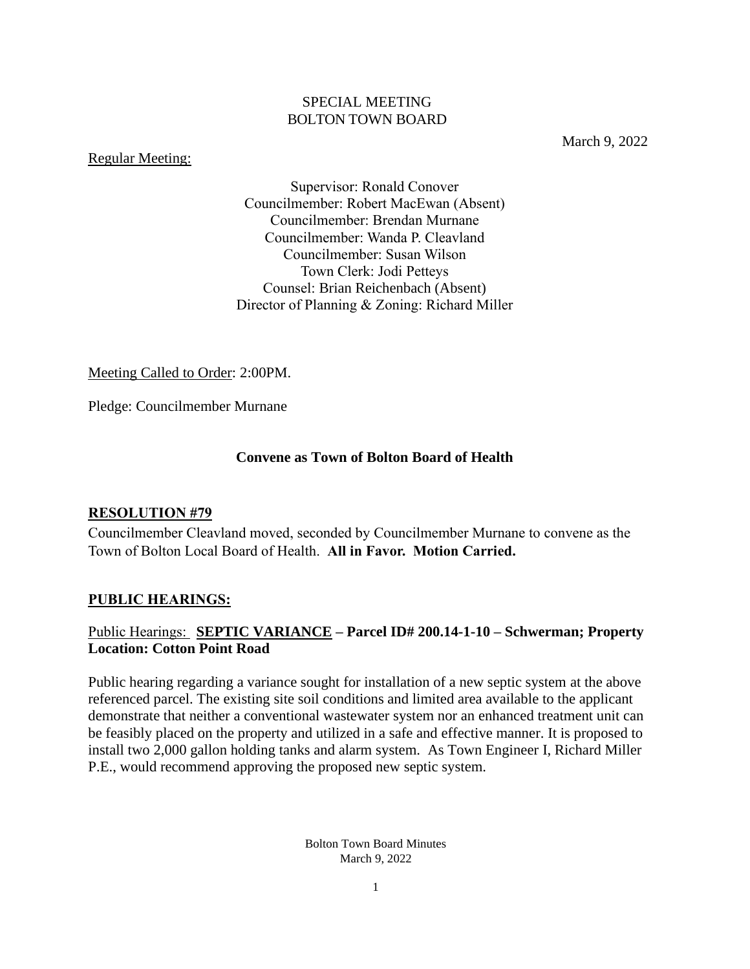#### SPECIAL MEETING BOLTON TOWN BOARD

#### Regular Meeting:

March 9, 2022

Supervisor: Ronald Conover Councilmember: Robert MacEwan (Absent) Councilmember: Brendan Murnane Councilmember: Wanda P. Cleavland Councilmember: Susan Wilson Town Clerk: Jodi Petteys Counsel: Brian Reichenbach (Absent) Director of Planning & Zoning: Richard Miller

Meeting Called to Order: 2:00PM.

Pledge: Councilmember Murnane

### **Convene as Town of Bolton Board of Health**

#### **RESOLUTION #79**

Councilmember Cleavland moved, seconded by Councilmember Murnane to convene as the Town of Bolton Local Board of Health. **All in Favor. Motion Carried.**

#### **PUBLIC HEARINGS:**

## Public Hearings: **SEPTIC VARIANCE – Parcel ID# 200.14-1-10 – Schwerman; Property Location: Cotton Point Road**

Public hearing regarding a variance sought for installation of a new septic system at the above referenced parcel. The existing site soil conditions and limited area available to the applicant demonstrate that neither a conventional wastewater system nor an enhanced treatment unit can be feasibly placed on the property and utilized in a safe and effective manner. It is proposed to install two 2,000 gallon holding tanks and alarm system. As Town Engineer I, Richard Miller P.E., would recommend approving the proposed new septic system.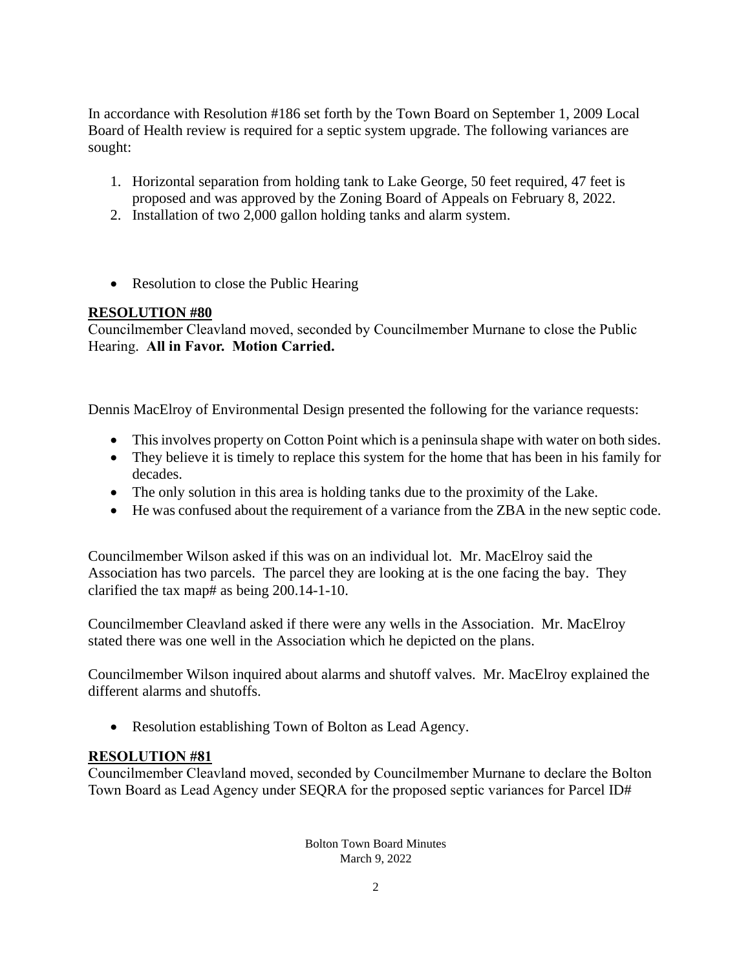In accordance with Resolution #186 set forth by the Town Board on September 1, 2009 Local Board of Health review is required for a septic system upgrade. The following variances are sought:

- 1. Horizontal separation from holding tank to Lake George, 50 feet required, 47 feet is proposed and was approved by the Zoning Board of Appeals on February 8, 2022.
- 2. Installation of two 2,000 gallon holding tanks and alarm system.
- Resolution to close the Public Hearing

# **RESOLUTION #80**

Councilmember Cleavland moved, seconded by Councilmember Murnane to close the Public Hearing. **All in Favor. Motion Carried.**

Dennis MacElroy of Environmental Design presented the following for the variance requests:

- This involves property on Cotton Point which is a peninsula shape with water on both sides.
- They believe it is timely to replace this system for the home that has been in his family for decades.
- The only solution in this area is holding tanks due to the proximity of the Lake.
- He was confused about the requirement of a variance from the ZBA in the new septic code.

Councilmember Wilson asked if this was on an individual lot. Mr. MacElroy said the Association has two parcels. The parcel they are looking at is the one facing the bay. They clarified the tax map# as being 200.14-1-10.

Councilmember Cleavland asked if there were any wells in the Association. Mr. MacElroy stated there was one well in the Association which he depicted on the plans.

Councilmember Wilson inquired about alarms and shutoff valves. Mr. MacElroy explained the different alarms and shutoffs.

• Resolution establishing Town of Bolton as Lead Agency.

## **RESOLUTION #81**

Councilmember Cleavland moved, seconded by Councilmember Murnane to declare the Bolton Town Board as Lead Agency under SEQRA for the proposed septic variances for Parcel ID#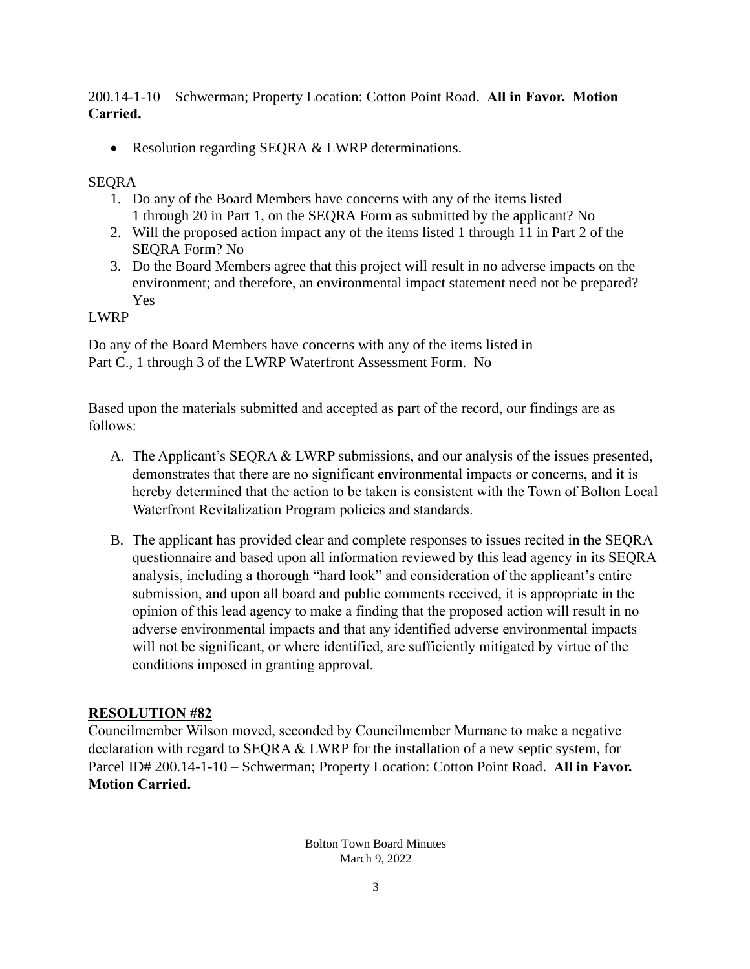200.14-1-10 – Schwerman; Property Location: Cotton Point Road. **All in Favor. Motion Carried.**

• Resolution regarding SEQRA & LWRP determinations.

#### SEQRA

- 1. Do any of the Board Members have concerns with any of the items listed 1 through 20 in Part 1, on the SEQRA Form as submitted by the applicant? No
- 2. Will the proposed action impact any of the items listed 1 through 11 in Part 2 of the SEQRA Form? No
- 3. Do the Board Members agree that this project will result in no adverse impacts on the environment; and therefore, an environmental impact statement need not be prepared? Yes

#### LWRP

Do any of the Board Members have concerns with any of the items listed in Part C., 1 through 3 of the LWRP Waterfront Assessment Form. No

Based upon the materials submitted and accepted as part of the record, our findings are as follows:

- A. The Applicant's SEQRA & LWRP submissions, and our analysis of the issues presented, demonstrates that there are no significant environmental impacts or concerns, and it is hereby determined that the action to be taken is consistent with the Town of Bolton Local Waterfront Revitalization Program policies and standards.
- B. The applicant has provided clear and complete responses to issues recited in the SEQRA questionnaire and based upon all information reviewed by this lead agency in its SEQRA analysis, including a thorough "hard look" and consideration of the applicant's entire submission, and upon all board and public comments received, it is appropriate in the opinion of this lead agency to make a finding that the proposed action will result in no adverse environmental impacts and that any identified adverse environmental impacts will not be significant, or where identified, are sufficiently mitigated by virtue of the conditions imposed in granting approval.

## **RESOLUTION #82**

Councilmember Wilson moved, seconded by Councilmember Murnane to make a negative declaration with regard to SEQRA & LWRP for the installation of a new septic system, for Parcel ID# 200.14-1-10 – Schwerman; Property Location: Cotton Point Road. **All in Favor. Motion Carried.**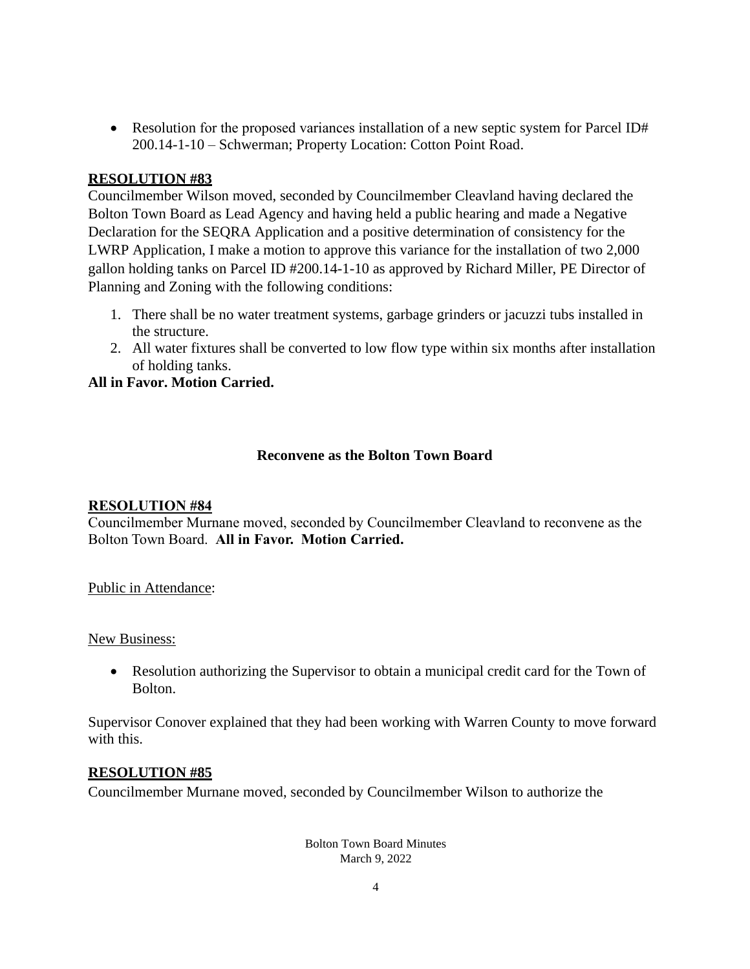• Resolution for the proposed variances installation of a new septic system for Parcel ID# 200.14-1-10 – Schwerman; Property Location: Cotton Point Road.

#### **RESOLUTION #83**

Councilmember Wilson moved, seconded by Councilmember Cleavland having declared the Bolton Town Board as Lead Agency and having held a public hearing and made a Negative Declaration for the SEQRA Application and a positive determination of consistency for the LWRP Application, I make a motion to approve this variance for the installation of two 2,000 gallon holding tanks on Parcel ID #200.14-1-10 as approved by Richard Miller, PE Director of Planning and Zoning with the following conditions:

- 1. There shall be no water treatment systems, garbage grinders or jacuzzi tubs installed in the structure.
- 2. All water fixtures shall be converted to low flow type within six months after installation of holding tanks.

#### **All in Favor. Motion Carried.**

### **Reconvene as the Bolton Town Board**

#### **RESOLUTION #84**

Councilmember Murnane moved, seconded by Councilmember Cleavland to reconvene as the Bolton Town Board. **All in Favor. Motion Carried.**

Public in Attendance:

#### New Business:

• Resolution authorizing the Supervisor to obtain a municipal credit card for the Town of Bolton.

Supervisor Conover explained that they had been working with Warren County to move forward with this.

#### **RESOLUTION #85**

Councilmember Murnane moved, seconded by Councilmember Wilson to authorize the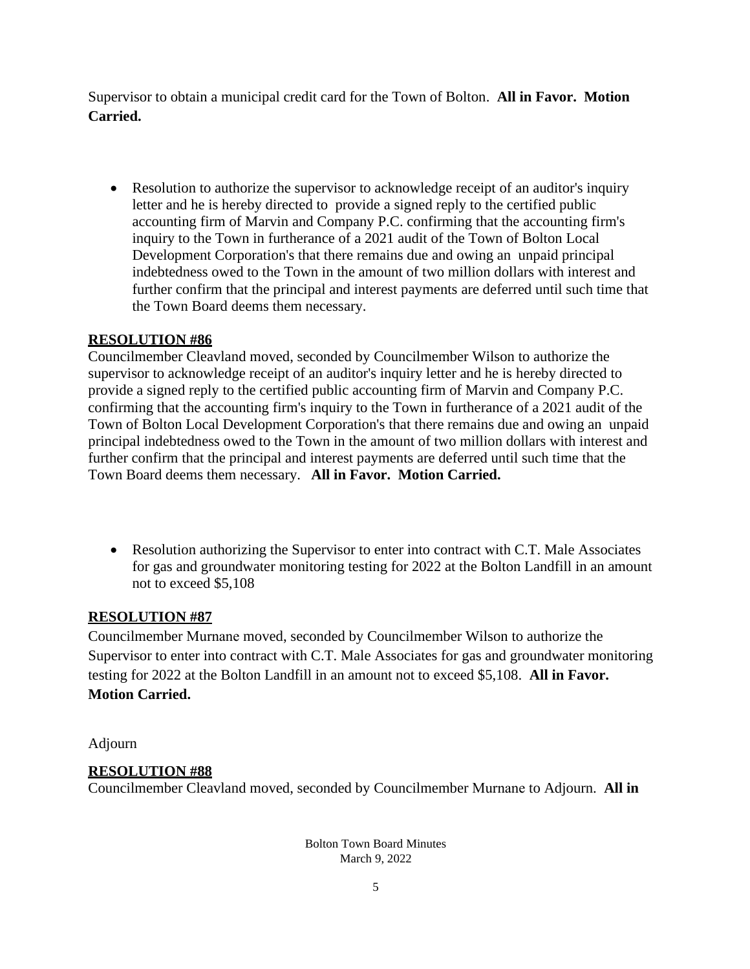Supervisor to obtain a municipal credit card for the Town of Bolton. **All in Favor. Motion Carried.**

• Resolution to authorize the supervisor to acknowledge receipt of an auditor's inquiry letter and he is hereby directed to provide a signed reply to the certified public accounting firm of Marvin and Company P.C. confirming that the accounting firm's inquiry to the Town in furtherance of a 2021 audit of the Town of Bolton Local Development Corporation's that there remains due and owing an unpaid principal indebtedness owed to the Town in the amount of two million dollars with interest and further confirm that the principal and interest payments are deferred until such time that the Town Board deems them necessary.

## **RESOLUTION #86**

Councilmember Cleavland moved, seconded by Councilmember Wilson to authorize the supervisor to acknowledge receipt of an auditor's inquiry letter and he is hereby directed to provide a signed reply to the certified public accounting firm of Marvin and Company P.C. confirming that the accounting firm's inquiry to the Town in furtherance of a 2021 audit of the Town of Bolton Local Development Corporation's that there remains due and owing an unpaid principal indebtedness owed to the Town in the amount of two million dollars with interest and further confirm that the principal and interest payments are deferred until such time that the Town Board deems them necessary. **All in Favor. Motion Carried.**

• Resolution authorizing the Supervisor to enter into contract with C.T. Male Associates for gas and groundwater monitoring testing for 2022 at the Bolton Landfill in an amount not to exceed \$5,108

## **RESOLUTION #87**

Councilmember Murnane moved, seconded by Councilmember Wilson to authorize the Supervisor to enter into contract with C.T. Male Associates for gas and groundwater monitoring testing for 2022 at the Bolton Landfill in an amount not to exceed \$5,108. **All in Favor. Motion Carried.**

Adjourn

## **RESOLUTION #88**

Councilmember Cleavland moved, seconded by Councilmember Murnane to Adjourn. **All in**